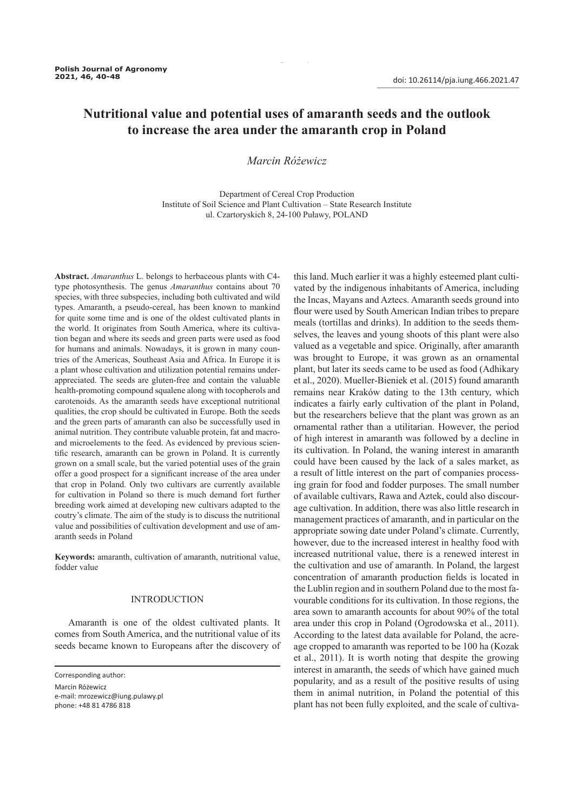# **Nutritional value and potential uses of amaranth seeds and the outlook to increase the area under the amaranth crop in Poland**

## *Marcin Różewicz*

Department of Cereal Crop Production Institute of Soil Science and Plant Cultivation – State Research Institute ul. Czartoryskich 8, 24-100 Puławy, POLAND

**Abstract.** *Amaranthus* L. belongs to herbaceous plants with C4 type photosynthesis. The genus *Amaranthus* contains about 70 species, with three subspecies, including both cultivated and wild types. Amaranth, a pseudo-cereal, has been known to mankind for quite some time and is one of the oldest cultivated plants in the world. It originates from South America, where its cultivation began and where its seeds and green parts were used as food for humans and animals. Nowadays, it is grown in many countries of the Americas, Southeast Asia and Africa. In Europe it is a plant whose cultivation and utilization potential remains underappreciated. The seeds are gluten-free and contain the valuable health-promoting compound squalene along with tocopherols and carotenoids. As the amaranth seeds have exceptional nutritional qualities, the crop should be cultivated in Europe. Both the seeds and the green parts of amaranth can also be successfully used in animal nutrition. They contribute valuable protein, fat and macroand microelements to the feed. As evidenced by previous scientific research, amaranth can be grown in Poland. It is currently grown on a small scale, but the varied potential uses of the grain offer a good prospect for a significant increase of the area under that crop in Poland. Only two cultivars are currently available for cultivation in Poland so there is much demand fort further breeding work aimed at developing new cultivars adapted to the coutry's climate. The aim of the study is to discuss the nutritional value and possibilities of cultivation development and use of amaranth seeds in Poland

**Keywords:** amaranth, cultivation of amaranth, nutritional value, fodder value

## INTRODUCTION

Amaranth is one of the oldest cultivated plants. It comes from South America, and the nutritional value of its seeds became known to Europeans after the discovery of

Corresponding author:

Marcin Różewicz e-mail: mrozewicz@iung.pulawy.pl phone: +48 81 4786 818

this land. Much earlier it was a highly esteemed plant cultivated by the indigenous inhabitants of America, including the Incas, Mayans and Aztecs. Amaranth seeds ground into flour were used by South American Indian tribes to prepare meals (tortillas and drinks). In addition to the seeds themselves, the leaves and young shoots of this plant were also valued as a vegetable and spice. Originally, after amaranth was brought to Europe, it was grown as an ornamental plant, but later its seeds came to be used as food (Adhikary et al., 2020). Mueller-Bieniek et al. (2015) found amaranth remains near Kraków dating to the 13th century, which indicates a fairly early cultivation of the plant in Poland, but the researchers believe that the plant was grown as an ornamental rather than a utilitarian. However, the period of high interest in amaranth was followed by a decline in its cultivation. In Poland, the waning interest in amaranth could have been caused by the lack of a sales market, as a result of little interest on the part of companies processing grain for food and fodder purposes. The small number of available cultivars, Rawa and Aztek, could also discourage cultivation. In addition, there was also little research in management practices of amaranth, and in particular on the appropriate sowing date under Poland's climate. Currently, however, due to the increased interest in healthy food with increased nutritional value, there is a renewed interest in the cultivation and use of amaranth. In Poland, the largest concentration of amaranth production fields is located in the Lublin region and in southern Poland due to the most favourable conditions for its cultivation. In those regions, the area sown to amaranth accounts for about 90% of the total area under this crop in Poland (Ogrodowska et al., 2011). According to the latest data available for Poland, the acreage cropped to amaranth was reported to be 100 ha (Kozak et al., 2011). It is worth noting that despite the growing interest in amaranth, the seeds of which have gained much popularity, and as a result of the positive results of using them in animal nutrition, in Poland the potential of this plant has not been fully exploited, and the scale of cultiva-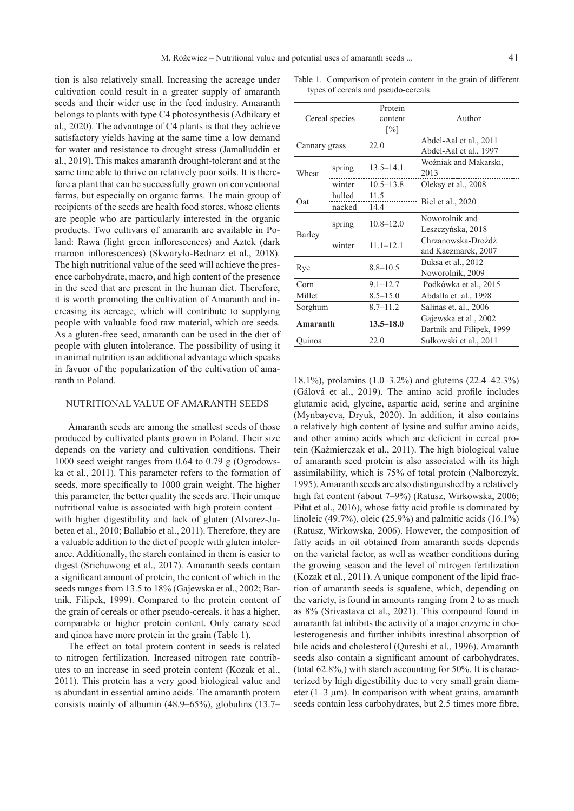tion is also relatively small. Increasing the acreage under cultivation could result in a greater supply of amaranth seeds and their wider use in the feed industry. Amaranth belongs to plants with type C4 photosynthesis (Adhikary et al., 2020). The advantage of C4 plants is that they achieve satisfactory yields having at the same time a low demand for water and resistance to drought stress (Jamalluddin et al., 2019). This makes amaranth drought-tolerant and at the same time able to thrive on relatively poor soils. It is therefore a plant that can be successfully grown on conventional farms, but especially on organic farms. The main group of recipients of the seeds are health food stores, whose clients are people who are particularly interested in the organic products. Two cultivars of amaranth are available in Poland: Rawa (light green inflorescences) and Aztek (dark maroon inflorescences) (Skwaryło-Bednarz et al., 2018). The high nutritional value of the seed will achieve the presence carbohydrate, macro, and high content of the presence in the seed that are present in the human diet. Therefore, it is worth promoting the cultivation of Amaranth and increasing its acreage, which will contribute to supplying people with valuable food raw material, which are seeds. As a gluten-free seed, amaranth can be used in the diet of people with gluten intolerance. The possibility of using it in animal nutrition is an additional advantage which speaks in favuor of the popularization of the cultivation of amaranth in Poland.

## NUTRITIONAL VALUE OF AMARANTH SEEDS

Amaranth seeds are among the smallest seeds of those produced by cultivated plants grown in Poland. Their size depends on the variety and cultivation conditions. Their 1000 seed weight ranges from 0.64 to 0.79 g (Ogrodowska et al., 2011). This parameter refers to the formation of seeds, more specifically to 1000 grain weight. The higher this parameter, the better quality the seeds are. Their unique nutritional value is associated with high protein content – with higher digestibility and lack of gluten (Alvarez-Jubetea et al., 2010; Ballabio et al., 2011). Therefore, they are a valuable addition to the diet of people with gluten intolerance. Additionally, the starch contained in them is easier to digest (Srichuwong et al., 2017). Amaranth seeds contain a significant amount of protein, the content of which in the seeds ranges from 13.5 to 18% (Gajewska et al., 2002; Bartnik, Filipek, 1999). Compared to the protein content of the grain of cereals or other pseudo-cereals, it has a higher, comparable or higher protein content. Only canary seed and qinoa have more protein in the grain (Table 1).

The effect on total protein content in seeds is related to nitrogen fertilization. Increased nitrogen rate contributes to an increase in seed protein content (Kozak et al., 2011). This protein has a very good biological value and is abundant in essential amino acids. The amaranth protein consists mainly of albumin (48.9–65%), globulins (13.7–

Table 1. Comparison of protein content in the grain of different types of cereals and pseudo-cereals.

| Cereal species |                  | Protein<br>content<br>$\lceil\% \rceil$ | Author                                             |  |
|----------------|------------------|-----------------------------------------|----------------------------------------------------|--|
| Cannary grass  |                  | 22.0                                    | Abdel-Aal et al., 2011<br>Abdel-Aal et al., 1997   |  |
| Wheat          | spring           | $13.5 - 14.1$                           | Woźniak and Makarski,<br>2013                      |  |
|                | winter           | $10.5 - 13.8$                           | Oleksy et al., 2008                                |  |
| Oat            | hulled<br>nacked | 11.5<br>14.4                            | Biel et al., 2020                                  |  |
| Barley         | spring           | $10.8 - 12.0$                           | Noworolnik and<br>Leszczyńska, 2018                |  |
|                | winter           | $11.1 - 12.1$                           | Chrzanowska-Drożdż<br>and Kaczmarek, 2007          |  |
| Rye            |                  | $8.8 - 10.5$                            | Buksa et al., 2012<br>Noworolnik, 2009             |  |
| Corn           |                  | $9.1 - 12.7$                            | Podkówka et al., 2015                              |  |
| Millet         |                  | $8.5 - 15.0$                            | Abdalla et. al., 1998                              |  |
| Sorghum        |                  | $8.7 - 11.2$                            | Salinas et, al., 2006                              |  |
| Amaranth       |                  | $13.5 - 18.0$                           | Gajewska et al., 2002<br>Bartnik and Filipek, 1999 |  |
| Ouinoa         |                  | 22.0                                    | Sułkowski et al., 2011                             |  |
|                |                  |                                         |                                                    |  |

18.1%), prolamins (1.0–3.2%) and gluteins (22.4–42.3%) (Gálová et al., 2019). The amino acid profile includes glutamic acid, glycine, aspartic acid, serine and arginine (Mynbayeva, Dryuk, 2020). In addition, it also contains a relatively high content of lysine and sulfur amino acids, and other amino acids which are deficient in cereal protein (Kaźmierczak et al., 2011). The high biological value of amaranth seed protein is also associated with its high assimilability, which is 75% of total protein (Nalborczyk, 1995). Amaranth seeds are also distinguished by a relatively high fat content (about 7–9%) (Ratusz, Wirkowska, 2006; Piłat et al., 2016), whose fatty acid profile is dominated by linoleic (49.7%), oleic (25.9%) and palmitic acids (16.1%) (Ratusz, Wirkowska, 2006). However, the composition of fatty acids in oil obtained from amaranth seeds depends on the varietal factor, as well as weather conditions during the growing season and the level of nitrogen fertilization (Kozak et al., 2011). A unique component of the lipid fraction of amaranth seeds is squalene, which, depending on the variety, is found in amounts ranging from 2 to as much as 8% (Srivastava et al., 2021). This compound found in amaranth fat inhibits the activity of a major enzyme in cholesterogenesis and further inhibits intestinal absorption of bile acids and cholesterol (Qureshi et al., 1996). Amaranth seeds also contain a significant amount of carbohydrates, (total 62.8%,) with starch accounting for 50%. It is characterized by high digestibility due to very small grain diameter  $(1-3 \mu m)$ . In comparison with wheat grains, amaranth seeds contain less carbohydrates, but 2.5 times more fibre,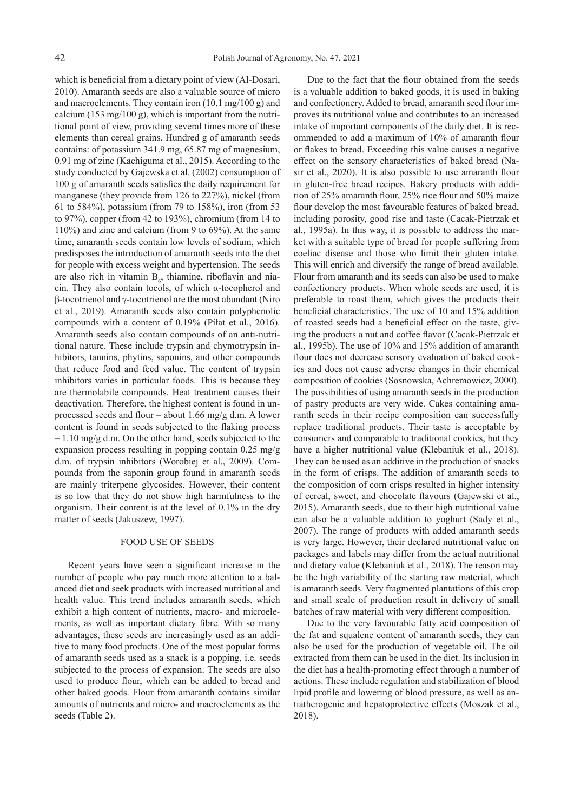which is beneficial from a dietary point of view (Al-Dosari, 2010). Amaranth seeds are also a valuable source of micro and macroelements. They contain iron (10.1 mg/100 g) and calcium (153 mg/100 g), which is important from the nutritional point of view, providing several times more of these elements than cereal grains. Hundred g of amaranth seeds contains: of potassium 341.9 mg, 65.87 mg of magnesium, 0.91 mg of zinc (Kachiguma et al., 2015). According to the study conducted by Gajewska et al. (2002) consumption of 100 g of amaranth seeds satisfies the daily requirement for manganese (they provide from 126 to 227%), nickel (from 61 to 584%), potassium (from 79 to 158%), iron (from 53 to 97%), copper (from 42 to 193%), chromium (from 14 to 110%) and zinc and calcium (from 9 to 69%). At the same time, amaranth seeds contain low levels of sodium, which predisposes the introduction of amaranth seeds into the diet for people with excess weight and hypertension. The seeds are also rich in vitamin  $B_6$ , thiamine, riboflavin and niacin. They also contain tocols, of which α-tocopherol and β-tocotrienol and γ-tocotrienol are the most abundant (Niro et al., 2019). Amaranth seeds also contain polyphenolic compounds with a content of 0.19% (Piłat et al., 2016). Amaranth seeds also contain compounds of an anti-nutritional nature. These include trypsin and chymotrypsin inhibitors, tannins, phytins, saponins, and other compounds that reduce food and feed value. The content of trypsin inhibitors varies in particular foods. This is because they are thermolabile compounds. Heat treatment causes their deactivation. Therefore, the highest content is found in unprocessed seeds and flour – about 1.66 mg/g d.m. A lower content is found in seeds subjected to the flaking process – 1.10 mg/g d.m. On the other hand, seeds subjected to the expansion process resulting in popping contain 0.25 mg/g d.m. of trypsin inhibitors (Worobiej et al., 2009). Compounds from the saponin group found in amaranth seeds are mainly triterpene glycosides. However, their content is so low that they do not show high harmfulness to the organism. Their content is at the level of 0.1% in the dry matter of seeds (Jakuszew, 1997).

## FOOD USE OF SEEDS

Recent years have seen a significant increase in the number of people who pay much more attention to a balanced diet and seek products with increased nutritional and health value. This trend includes amaranth seeds, which exhibit a high content of nutrients, macro- and microelements, as well as important dietary fibre. With so many advantages, these seeds are increasingly used as an additive to many food products. One of the most popular forms of amaranth seeds used as a snack is a popping, i.e. seeds subjected to the process of expansion. The seeds are also used to produce flour, which can be added to bread and other baked goods. Flour from amaranth contains similar amounts of nutrients and micro- and macroelements as the seeds (Table 2).

Due to the fact that the flour obtained from the seeds is a valuable addition to baked goods, it is used in baking and confectionery. Added to bread, amaranth seed flour improves its nutritional value and contributes to an increased intake of important components of the daily diet. It is recommended to add a maximum of 10% of amaranth flour or flakes to bread. Exceeding this value causes a negative effect on the sensory characteristics of baked bread (Nasir et al., 2020). It is also possible to use amaranth flour in gluten-free bread recipes. Bakery products with addition of 25% amaranth flour, 25% rice flour and 50% maize flour develop the most favourable features of baked bread, including porosity, good rise and taste (Cacak-Pietrzak et al., 1995a). In this way, it is possible to address the market with a suitable type of bread for people suffering from coeliac disease and those who limit their gluten intake. This will enrich and diversify the range of bread available. Flour from amaranth and its seeds can also be used to make confectionery products. When whole seeds are used, it is preferable to roast them, which gives the products their beneficial characteristics. The use of 10 and 15% addition of roasted seeds had a beneficial effect on the taste, giving the products a nut and coffee flavor (Cacak-Pietrzak et al., 1995b). The use of 10% and 15% addition of amaranth flour does not decrease sensory evaluation of baked cookies and does not cause adverse changes in their chemical composition of cookies (Sosnowska, Achremowicz, 2000). The possibilities of using amaranth seeds in the production of pastry products are very wide. Cakes containing amaranth seeds in their recipe composition can successfully replace traditional products. Their taste is acceptable by consumers and comparable to traditional cookies, but they have a higher nutritional value (Klebaniuk et al., 2018). They can be used as an additive in the production of snacks in the form of crisps. The addition of amaranth seeds to the composition of corn crisps resulted in higher intensity of cereal, sweet, and chocolate flavours (Gajewski et al., 2015). Amaranth seeds, due to their high nutritional value can also be a valuable addition to yoghurt (Sady et al., 2007). The range of products with added amaranth seeds is very large. However, their declared nutritional value on packages and labels may differ from the actual nutritional and dietary value (Klebaniuk et al., 2018). The reason may be the high variability of the starting raw material, which is amaranth seeds. Very fragmented plantations of this crop and small scale of production result in delivery of small batches of raw material with very different composition.

Due to the very favourable fatty acid composition of the fat and squalene content of amaranth seeds, they can also be used for the production of vegetable oil. The oil extracted from them can be used in the diet. Its inclusion in the diet has a health-promoting effect through a number of actions. These include regulation and stabilization of blood lipid profile and lowering of blood pressure, as well as antiatherogenic and hepatoprotective effects (Moszak et al., 2018).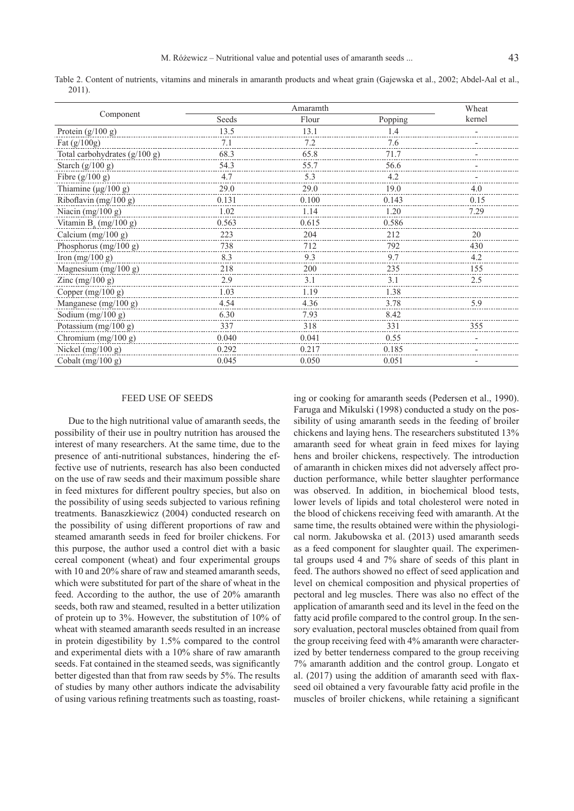Table 2. Content of nutrients, vitamins and minerals in amaranth products and wheat grain (Gajewska et al., 2002; Abdel-Aal et al., 2011).

|                                 | Amaramth |       |         | Wheat  |
|---------------------------------|----------|-------|---------|--------|
| Component                       | Seeds    | Flour | Popping | kernel |
| Protein $(g/100 g)$             | 13.5     | 13.1  | 1.4     |        |
| Fat $(g/100g)$                  | 7.1      | 7.2   | 7.6     |        |
| Total carbohydrates $(g/100 g)$ | 68.3     | 65.8  | 71.7    |        |
| Starch $(g/100 g)$              | 54.3     | 55.7  | 56.6    |        |
| Fibre $(g/100 g)$               | 4.7      | 5.3   | 4.2     |        |
| Thiamine ( $\mu$ g/100 g)       | 29.0     | 29.0  | 19.0    | 4.0    |
| Riboflavin (mg/100 g)           | 0.131    | 0.100 | 0.143   | 0.15   |
| Niacin $(mg/100 g)$             | 1.02     | 1.14  | 1.20    | 7.29   |
| Vitamin $B_c$ (mg/100 g)        | 0.563    | 0.615 | 0.586   |        |
| Calcium $(mg/100 g)$            | 223      | 204   | 212     | 20     |
| Phosphorus $(mg/100 g)$         | 738      | 712   | 792     | 430    |
| Iron $(mg/100 g)$               | 8.3      | 9.3   | 9.7     | 4.2    |
| Magnesium (mg/100 g)            | 218      | 200   | 235     | 155    |
| Zinc $(mg/100 g)$               | 2.9      | 3.1   | 3.1     | 2.5    |
| Copper $(mg/100 g)$             | 1.03     | 1.19  | 1.38    |        |
| Manganese $(mg/100 g)$          | 4.54     | 4.36  | 3.78    | 5.9    |
| Sodium $(mg/100 g)$             | 6.30     | 7.93  | 8.42    |        |
| Potassium (mg/100 g)            | 337      | 318   | 331     | 355    |
| Chromium (mg/100 g)             | 0.040    | 0.041 | 0.55    |        |
| Nickel $(mg/100 g)$             | 0.292    | 0.217 | 0.185   |        |
| Cobalt $(mg/100 g)$             | 0.045    | 0.050 | 0.051   |        |

#### FEED USE OF SEEDS

Due to the high nutritional value of amaranth seeds, the possibility of their use in poultry nutrition has aroused the interest of many researchers. At the same time, due to the presence of anti-nutritional substances, hindering the effective use of nutrients, research has also been conducted on the use of raw seeds and their maximum possible share in feed mixtures for different poultry species, but also on the possibility of using seeds subjected to various refining treatments. Banaszkiewicz (2004) conducted research on the possibility of using different proportions of raw and steamed amaranth seeds in feed for broiler chickens. For this purpose, the author used a control diet with a basic cereal component (wheat) and four experimental groups with 10 and 20% share of raw and steamed amaranth seeds, which were substituted for part of the share of wheat in the feed. According to the author, the use of 20% amaranth seeds, both raw and steamed, resulted in a better utilization of protein up to 3%. However, the substitution of 10% of wheat with steamed amaranth seeds resulted in an increase in protein digestibility by 1.5% compared to the control and experimental diets with a 10% share of raw amaranth seeds. Fat contained in the steamed seeds, was significantly better digested than that from raw seeds by 5%. The results of studies by many other authors indicate the advisability of using various refining treatments such as toasting, roast-

ing or cooking for amaranth seeds (Pedersen et al., 1990). Faruga and Mikulski (1998) conducted a study on the possibility of using amaranth seeds in the feeding of broiler chickens and laying hens. The researchers substituted 13% amaranth seed for wheat grain in feed mixes for laying hens and broiler chickens, respectively. The introduction of amaranth in chicken mixes did not adversely affect production performance, while better slaughter performance was observed. In addition, in biochemical blood tests, lower levels of lipids and total cholesterol were noted in the blood of chickens receiving feed with amaranth. At the same time, the results obtained were within the physiological norm. Jakubowska et al. (2013) used amaranth seeds as a feed component for slaughter quail. The experimental groups used 4 and 7% share of seeds of this plant in feed. The authors showed no effect of seed application and level on chemical composition and physical properties of pectoral and leg muscles. There was also no effect of the application of amaranth seed and its level in the feed on the fatty acid profile compared to the control group. In the sensory evaluation, pectoral muscles obtained from quail from the group receiving feed with 4% amaranth were characterized by better tenderness compared to the group receiving 7% amaranth addition and the control group. Longato et al. (2017) using the addition of amaranth seed with flaxseed oil obtained a very favourable fatty acid profile in the muscles of broiler chickens, while retaining a significant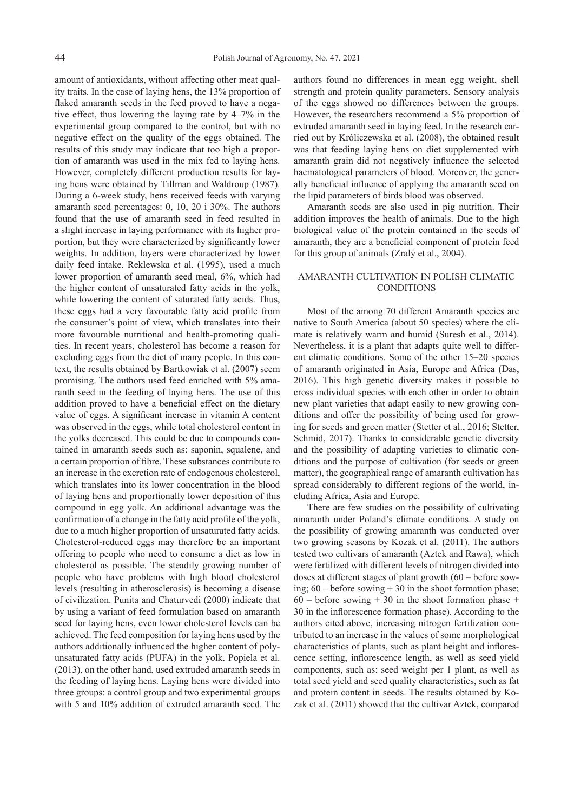amount of antioxidants, without affecting other meat quality traits. In the case of laying hens, the 13% proportion of flaked amaranth seeds in the feed proved to have a negative effect, thus lowering the laying rate by 4–7% in the experimental group compared to the control, but with no negative effect on the quality of the eggs obtained. The results of this study may indicate that too high a proportion of amaranth was used in the mix fed to laying hens. However, completely different production results for laying hens were obtained by Tillman and Waldroup (1987). During a 6-week study, hens received feeds with varying amaranth seed percentages: 0, 10, 20 i 30%. The authors found that the use of amaranth seed in feed resulted in a slight increase in laying performance with its higher proportion, but they were characterized by significantly lower weights. In addition, layers were characterized by lower daily feed intake. Reklewska et al. (1995), used a much lower proportion of amaranth seed meal, 6%, which had the higher content of unsaturated fatty acids in the yolk, while lowering the content of saturated fatty acids. Thus, these eggs had a very favourable fatty acid profile from the consumer's point of view, which translates into their more favourable nutritional and health-promoting qualities. In recent years, cholesterol has become a reason for excluding eggs from the diet of many people. In this context, the results obtained by Bartkowiak et al. (2007) seem promising. The authors used feed enriched with 5% amaranth seed in the feeding of laying hens. The use of this addition proved to have a beneficial effect on the dietary value of eggs. A significant increase in vitamin A content was observed in the eggs, while total cholesterol content in the yolks decreased. This could be due to compounds contained in amaranth seeds such as: saponin, squalene, and a certain proportion of fibre. These substances contribute to an increase in the excretion rate of endogenous cholesterol, which translates into its lower concentration in the blood of laying hens and proportionally lower deposition of this compound in egg yolk. An additional advantage was the confirmation of a change in the fatty acid profile of the yolk, due to a much higher proportion of unsaturated fatty acids. Cholesterol-reduced eggs may therefore be an important offering to people who need to consume a diet as low in cholesterol as possible. The steadily growing number of people who have problems with high blood cholesterol levels (resulting in atherosclerosis) is becoming a disease of civilization. Punita and Chaturvedi (2000) indicate that by using a variant of feed formulation based on amaranth seed for laying hens, even lower cholesterol levels can be achieved. The feed composition for laying hens used by the authors additionally influenced the higher content of polyunsaturated fatty acids (PUFA) in the yolk. Popiela et al. (2013), on the other hand, used extruded amaranth seeds in the feeding of laying hens. Laying hens were divided into three groups: a control group and two experimental groups with 5 and 10% addition of extruded amaranth seed. The authors found no differences in mean egg weight, shell strength and protein quality parameters. Sensory analysis of the eggs showed no differences between the groups. However, the researchers recommend a 5% proportion of extruded amaranth seed in laying feed. In the research carried out by Króliczewska et al. (2008), the obtained result was that feeding laying hens on diet supplemented with amaranth grain did not negatively influence the selected haematological parameters of blood. Moreover, the generally beneficial influence of applying the amaranth seed on the lipid parameters of birds blood was observed.

Amaranth seeds are also used in pig nutrition. Their addition improves the health of animals. Due to the high biological value of the protein contained in the seeds of amaranth, they are a beneficial component of protein feed for this group of animals (Zralý et al., 2004).

## AMARANTH CULTIVATION IN POLISH CLIMATIC CONDITIONS

Most of the among 70 different Amaranth species are native to South America (about 50 species) where the climate is relatively warm and humid (Suresh et al., 2014). Nevertheless, it is a plant that adapts quite well to different climatic conditions. Some of the other 15–20 species of amaranth originated in Asia, Europe and Africa (Das, 2016). This high genetic diversity makes it possible to cross individual species with each other in order to obtain new plant varieties that adapt easily to new growing conditions and offer the possibility of being used for growing for seeds and green matter (Stetter et al., 2016; Stetter, Schmid, 2017). Thanks to considerable genetic diversity and the possibility of adapting varieties to climatic conditions and the purpose of cultivation (for seeds or green matter), the geographical range of amaranth cultivation has spread considerably to different regions of the world, including Africa, Asia and Europe.

There are few studies on the possibility of cultivating amaranth under Poland's climate conditions. A study on the possibility of growing amaranth was conducted over two growing seasons by Kozak et al. (2011). The authors tested two cultivars of amaranth (Aztek and Rawa), which were fertilized with different levels of nitrogen divided into doses at different stages of plant growth (60 – before sowing;  $60 - \text{before}$  sowing  $+ 30$  in the shoot formation phase;  $60 - \text{before}$  sowing + 30 in the shoot formation phase + 30 in the inflorescence formation phase). According to the authors cited above, increasing nitrogen fertilization contributed to an increase in the values of some morphological characteristics of plants, such as plant height and inflorescence setting, inflorescence length, as well as seed yield components, such as: seed weight per 1 plant, as well as total seed yield and seed quality characteristics, such as fat and protein content in seeds. The results obtained by Kozak et al. (2011) showed that the cultivar Aztek, compared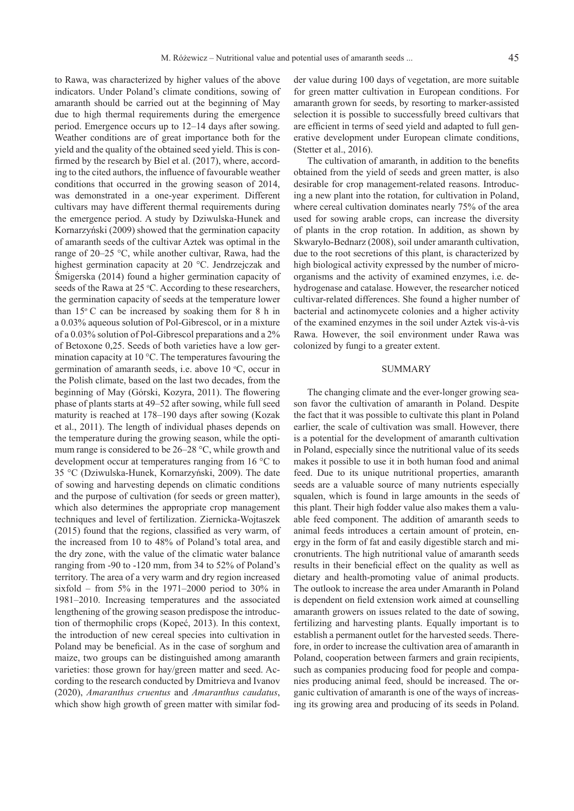to Rawa, was characterized by higher values of the above indicators. Under Poland's climate conditions, sowing of amaranth should be carried out at the beginning of May due to high thermal requirements during the emergence period. Emergence occurs up to 12–14 days after sowing. Weather conditions are of great importance both for the yield and the quality of the obtained seed yield. This is confirmed by the research by Biel et al. (2017), where, according to the cited authors, the influence of favourable weather conditions that occurred in the growing season of 2014, was demonstrated in a one-year experiment. Different cultivars may have different thermal requirements during the emergence period. A study by Dziwulska-Hunek and Kornarzyński (2009) showed that the germination capacity of amaranth seeds of the cultivar Aztek was optimal in the range of 20–25 °C, while another cultivar, Rawa, had the highest germination capacity at 20 °C. Jendrzejczak and Śmigerska (2014) found a higher germination capacity of seeds of the Rawa at 25 °C. According to these researchers, the germination capacity of seeds at the temperature lower than  $15^{\circ}$  C can be increased by soaking them for 8 h in a 0.03% aqueous solution of Pol-Gibrescol, or in a mixture of a 0.03% solution of Pol-Gibrescol preparations and a 2% of Betoxone 0,25. Seeds of both varieties have a low germination capacity at 10 °C. The temperatures favouring the germination of amaranth seeds, i.e. above 10 °C, occur in the Polish climate, based on the last two decades, from the beginning of May (Górski, Kozyra, 2011). The flowering phase of plants starts at 49–52 after sowing, while full seed maturity is reached at 178–190 days after sowing (Kozak et al., 2011). The length of individual phases depends on the temperature during the growing season, while the optimum range is considered to be 26–28 °C, while growth and development occur at temperatures ranging from 16 °C to 35 °C (Dziwulska-Hunek, Kornarzyński, 2009). The date of sowing and harvesting depends on climatic conditions and the purpose of cultivation (for seeds or green matter), which also determines the appropriate crop management techniques and level of fertilization. Ziernicka-Wojtaszek (2015) found that the regions, classified as very warm, of the increased from 10 to 48% of Poland's total area, and the dry zone, with the value of the climatic water balance ranging from -90 to -120 mm, from 34 to 52% of Poland's territory. The area of a very warm and dry region increased sixfold – from  $5\%$  in the 1971–2000 period to 30% in 1981–2010. Increasing temperatures and the associated lengthening of the growing season predispose the introduction of thermophilic crops (Kopeć, 2013). In this context, the introduction of new cereal species into cultivation in Poland may be beneficial. As in the case of sorghum and maize, two groups can be distinguished among amaranth varieties: those grown for hay/green matter and seed. According to the research conducted by Dmitrieva and Ivanov (2020), *Amaranthus cruentus* and *Amaranthus caudatus*, which show high growth of green matter with similar fod-

der value during 100 days of vegetation, are more suitable for green matter cultivation in European conditions. For amaranth grown for seeds, by resorting to marker-assisted selection it is possible to successfully breed cultivars that are efficient in terms of seed yield and adapted to full generative development under European climate conditions, (Stetter et al., 2016).

The cultivation of amaranth, in addition to the benefits obtained from the yield of seeds and green matter, is also desirable for crop management-related reasons. Introducing a new plant into the rotation, for cultivation in Poland, where cereal cultivation dominates nearly 75% of the area used for sowing arable crops, can increase the diversity of plants in the crop rotation. In addition, as shown by Skwaryło-Bednarz (2008), soil under amaranth cultivation, due to the root secretions of this plant, is characterized by high biological activity expressed by the number of microorganisms and the activity of examined enzymes, i.e. dehydrogenase and catalase. However, the researcher noticed cultivar-related differences. She found a higher number of bacterial and actinomycete colonies and a higher activity of the examined enzymes in the soil under Aztek vis-à-vis Rawa. However, the soil environment under Rawa was colonized by fungi to a greater extent.

## **SUMMARY**

The changing climate and the ever-longer growing season favor the cultivation of amaranth in Poland. Despite the fact that it was possible to cultivate this plant in Poland earlier, the scale of cultivation was small. However, there is a potential for the development of amaranth cultivation in Poland, especially since the nutritional value of its seeds makes it possible to use it in both human food and animal feed. Due to its unique nutritional properties, amaranth seeds are a valuable source of many nutrients especially squalen, which is found in large amounts in the seeds of this plant. Their high fodder value also makes them a valuable feed component. The addition of amaranth seeds to animal feeds introduces a certain amount of protein, energy in the form of fat and easily digestible starch and micronutrients. The high nutritional value of amaranth seeds results in their beneficial effect on the quality as well as dietary and health-promoting value of animal products. The outlook to increase the area under Amaranth in Poland is dependent on field extension work aimed at counselling amaranth growers on issues related to the date of sowing, fertilizing and harvesting plants. Equally important is to establish a permanent outlet for the harvested seeds. Therefore, in order to increase the cultivation area of amaranth in Poland, cooperation between farmers and grain recipients, such as companies producing food for people and companies producing animal feed, should be increased. The organic cultivation of amaranth is one of the ways of increasing its growing area and producing of its seeds in Poland.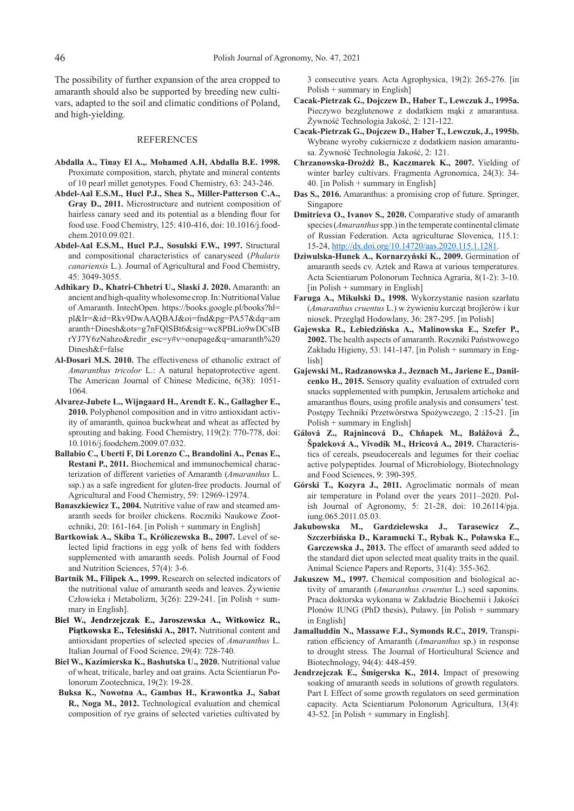The possibility of further expansion of the area cropped to amaranth should also be supported by breeding new cultivars, adapted to the soil and climatic conditions of Poland, and high-yielding.

#### REFERENCES

- **Abdalla A., Tinay El A.,. Mohamed A.H, Abdalla B.E. 1998.**  Proximate composition, starch, phytate and mineral contents of 10 pearl millet genotypes. Food Chemistry, 63: 243-246.
- **Abdel-Aal E.S.M., Hucl P.J., Shea S., Miller-Patterson C.A., Gray D., 2011.** Microstructure and nutrient composition of hairless canary seed and its potential as a blending flour for food use. Food Chemistry, 125: 410-416, doi: 10.1016/j.foodchem.2010.09.021.
- **Abdel-Aal E.S.M., Hucl P.J., Sosulski F.W., 1997.** Structural and compositional characteristics of canaryseed (*Phalaris canariensis* L.). Journal of Agricultural and Food Chemistry, 45: 3049-3055.
- **Adhikary D., Khatri-Chhetri U., Slaski J. 2020.** Amaranth: an ancient and high-quality wholesome crop. In: Nutritional Value of Amaranth. IntechOpen. https://books.google.pl/books?hl= pl&lr=&id=Rkv9DwAAQBAJ&oi=fnd&pg=PA57&dq=am aranth+Dinesh&ots=g7nFQlSBt6&sig=wc8PBLio9wDCsIB rYJ7Y6zNahzo&redir\_esc=y#v=onepage&q=amaranth%20 Dinesh&f=false
- **Al-Dosari M.S. 2010.** The effectiveness of ethanolic extract of *Amaranthus tricolor* L.: A natural hepatoprotective agent. The American Journal of Chinese Medicine, 6(38): 1051- 1064.
- **Alvarez-Jubete L., Wijngaard H., Arendt E. K., Gallagher E., 2010.** Polyphenol composition and in vitro antioxidant activity of amaranth, quinoa buckwheat and wheat as affected by sprouting and baking. Food Chemistry, 119(2): 770-778, doi: 10.1016/j.foodchem.2009.07.032.
- **Ballabio C., Uberti F, Di Lorenzo C., Brandolini A., Penas E., Restani P., 2011.** Biochemical and immunochemical characterization of different varieties of Amaranth (*Amaranthus* L. ssp.) as a safe ingredient for gluten-free products. Journal of Agricultural and Food Chemistry, 59: 12969-12974.
- **Banaszkiewicz T., 2004.** Nutritive value of raw and steamed amaranth seeds for broiler chickens. Roczniki Naukowe Zootechniki, 20: 161-164. [in Polish + summary in English]
- **Bartkowiak A., Skiba T., Króliczewska B., 2007.** Level of selected lipid fractions in egg yolk of hens fed with fodders supplemented with amaranth seeds. Polish Journal of Food and Nutrition Sciences, 57(4): 3-6.
- **Bartnik M., Filipek A., 1999.** Research on selected indicators of the nutritional value of amaranth seeds and leaves. Żywienie Człowieka i Metabolizm, 3(26): 229-241. [in Polish + summary in English].
- **Biel W., Jendrzejczak E., Jaroszewska A., Witkowicz R., Piątkowska E., Telesiński A., 2017.** Nutritional content and antioxidant properties of selected species of *Amaranthus* L. Italian Journal of Food Science, 29(4): 728-740.
- **Biel W., Kazimierska K., Bashutska U., 2020.** Nutritional value of wheat, triticale, barley and oat grains. Acta Scientiarun Polonorum Zootechnica, 19(2): 19-28.
- **Buksa K., Nowotna A., Gambus H., Krawontka J., Sabat R., Noga M., 2012.** Technological evaluation and chemical composition of rye grains of selected varieties cultivated by

3 consecutive years. Acta Agrophysica, 19(2): 265-276. [in Polish + summary in English]

- **Cacak-Pietrzak G., Dojczew D., Haber T., Lewczuk J., 1995a.** Pieczywo bezglutenowe z dodatkiem mąki z amarantusa. Żywność Technologia Jakość, 2: 121-122.
- **Cacak-Pietrzak G., Dojczew D., Haber T., Lewczuk, J., 1995b.** Wybrane wyroby cukiernicze z dodatkiem nasion amarantusa. Żywność Technologia Jakość, 2: 121.
- **Chrzanowska-Drożdż B., Kaczmarek K., 2007.** Yielding of winter barley cultivars. Fragmenta Agronomica, 24(3): 34- 40. [in Polish + summary in English]
- **Das S., 2016.** Amaranthus: a promising crop of future. Springer, Singapore
- **Dmitrieva O., Ivanov S., 2020.** Comparative study of amaranth species (*Amaranthus* spp.) in the temperate continental climate of Russian Federation. Acta agriculturae Slovenica, 115.1: 15-24, http://dx.doi.org/10.14720/aas.2020.115.1.1281.
- **Dziwulska-Hunek A., Kornarzyński K., 2009.** Germination of amaranth seeds cv. Aztek and Rawa at various temperatures. Acta Scientiarum Polonorum Technica Agraria, 8(1-2): 3-10. [in Polish + summary in English]
- **Faruga A., Mikulski D., 1998.** Wykorzystanie nasion szarłatu (*Amaranthus cruentus* L.) w żywieniu kurcząt brojlerów i kur niosek. Przegląd Hodowlany, 36: 287-295. [in Polish]
- **Gajewska R., Lebiedzińska A., Malinowska E., Szefer P., 2002.** The health aspects of amaranth. Roczniki Państwowego Zakładu Higieny, 53: 141-147. [in Polish + summary in English]
- **Gajewski M., Radzanowska J., Jeznach M., Jariene E., Danilcenko H., 2015.** Sensory quality evaluation of extruded corn snacks supplemented with pumpkin, Jerusalem artichoke and amaranthus flours, using profile analysis and consumers' test. Postępy Techniki Przetwórstwa Spożywczego, 2 :15-21. [in Polish + summary in English]
- **Gálová Z., Rajnincová D., Chňapek M., Balážová Ž., Špaleková A., Vivodík M., Hricová A., 2019.** Characteristics of cereals, pseudocereals and legumes for their coeliac active polypeptides. Journal of Microbiology, Biotechnology and Food Sciences, 9: 390-395.
- **Górski T., Kozyra J., 2011.** Agroclimatic normals of mean air temperature in Poland over the years 2011–2020. Polish Journal of Agronomy, 5: 21-28, doi: 10.26114/pja. iung.065.2011.05.03.
- **Jakubowska M., Gardzielewska J., Tarasewicz Z., Szczerbińska D., Karamucki T., Rybak K., Poławska E., Garczewska J., 2013.** The effect of amaranth seed added to the standard diet upon selected meat quality traits in the quail. Animal Science Papers and Reports, 31(4): 355-362.
- **Jakuszew M., 1997.** Chemical composition and biological activity of amaranth (*Amaranthus cruentus* L.) seed saponins. Praca doktorska wykonana w Zakładzie Biochemii i Jakości Plonów IUNG (PhD thesis), Puławy. [in Polish + summary in English]
- **Jamalluddin N., Massawe F.J., Symonds R.C., 2019.** Transpiration efficiency of Amaranth (*Amaranthus* sp.) in response to drought stress. The Journal of Horticultural Science and Biotechnology, 94(4): 448-459.
- **Jendrzejczak E., Śmigerska K., 2014.** Impact of presowing soaking of amaranth seeds in solutions of growth regulators. Part I. Effect of some growth regulators on seed germination capacity. Acta Scientiarum Polonorum Agricultura, 13(4):  $43-52$ . [in Polish + summary in English].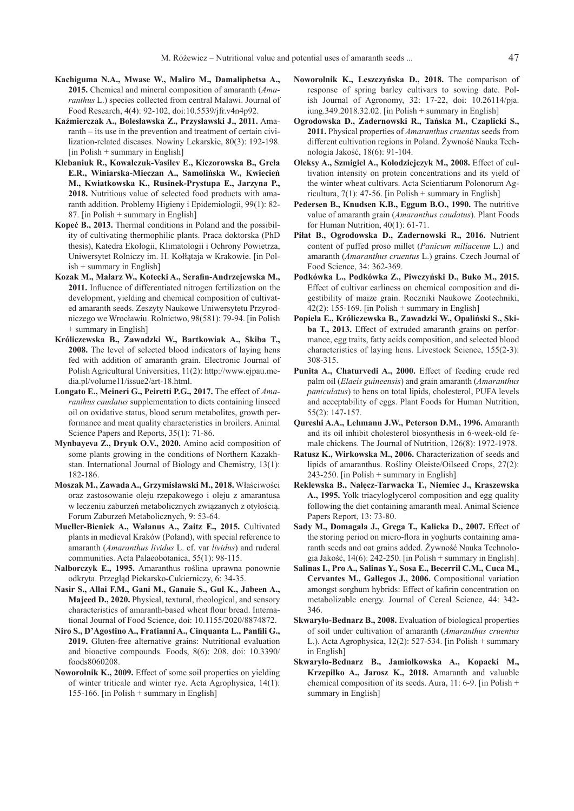- **Kachiguma N.A., Mwase W., Maliro M., Damaliphetsa A., 2015.** Chemical and mineral composition of amaranth (*Amaranthus* L.) species collected from central Malawi. Journal of Food Research, 4(4): 92-102, doi:10.5539/jfr.v4n4p92.
- **Kaźmierczak A., Bolesławska Z., Przysławski J., 2011.** Amaranth – its use in the prevention and treatment of certain civilization-related diseases. Nowiny Lekarskie, 80(3): 192-198.  $\left[$  in Polish + summary in English $\right]$
- **Klebaniuk R., Kowalczuk-Vasilev E., Kiczorowska B., Grela E.R., Winiarska-Mieczan A., Samolińska W., Kwiecień M., Kwiatkowska K., Rusinek-Prystupa E., Jarzyna P., 2018.** Nutritious value of selected food products with amaranth addition. Problemy Higieny i Epidemiologii, 99(1): 82- 87. [in Polish + summary in English]
- **Kopeć B., 2013.** Thermal conditions in Poland and the possibility of cultivating thermophilic plants. Praca doktorska (PhD thesis), Katedra Ekologii, Klimatologii i Ochrony Powietrza, Uniwersytet Rolniczy im. H. Kołłątaja w Krakowie. [in Polish + summary in English]
- **Kozak M., Malarz W., Kotecki A., Serafin-Andrzejewska M., 2011.** Influence of differentiated nitrogen fertilization on the development, yielding and chemical composition of cultivated amaranth seeds. Zeszyty Naukowe Uniwersytetu Przyrodniczego we Wrocławiu. Rolnictwo, 98(581): 79-94. [in Polish + summary in English]
- **Króliczewska B., Zawadzki W., Bartkowiak A., Skiba T., 2008.** The level of selected blood indicators of laying hens fed with addition of amaranth grain. Electronic Journal of Polish Agricultural Universities, 11(2): http://www.ejpau.media.pl/volume11/issue2/art-18.html.
- **Longato E., Meineri G., Peiretti P.G., 2017.** The effect of *Amaranthus caudatus* supplementation to diets containing linseed oil on oxidative status, blood serum metabolites, growth performance and meat quality characteristics in broilers. Animal Science Papers and Reports, 35(1): 71-86.
- **Mynbayeva Z., Dryuk O.V., 2020.** Amino acid composition of some plants growing in the conditions of Northern Kazakhstan. International Journal of Biology and Chemistry, 13(1): 182-186.
- **Moszak M., Zawada A., Grzymisławski M., 2018.** Właściwości oraz zastosowanie oleju rzepakowego i oleju z amarantusa w leczeniu zaburzeń metabolicznych związanych z otyłością. Forum Zaburzeń Metabolicznych, 9: 53-64.
- **Mueller-Bieniek A., Walanus A., Zaitz E., 2015.** Cultivated plants in medieval Kraków (Poland), with special reference to amaranth (*Amaranthus lividus* L. cf. var *lividus*) and ruderal communities. Acta Palaeobotanica, 55(1): 98-115.
- **Nalborczyk E., 1995.** Amaranthus roślina uprawna ponownie odkryta. Przegląd Piekarsko-Cukierniczy, 6: 34-35.
- **Nasir S., Allai F.M., Gani M., Ganaie S., Gul K., Jabeen A., Majeed D., 2020.** Physical, textural, rheological, and sensory characteristics of amaranth-based wheat flour bread. International Journal of Food Science, doi: 10.1155/2020/8874872.
- **Niro S., D'Agostino A., Fratianni A., Cinquanta L., Panfili G., 2019.** Gluten-free alternative grains: Nutritional evaluation and bioactive compounds. Foods, 8(6): 208, doi: 10.3390/ foods8060208.
- **Noworolnik K., 2009.** Effect of some soil properties on yielding of winter triticale and winter rye. Acta Agrophysica, 14(1): 155-166. [in Polish + summary in English]
- **Noworolnik K., Leszczyńska D., 2018.** The comparison of response of spring barley cultivars to sowing date. Polish Journal of Agronomy, 32: 17-22, doi: 10.26114/pja. iung.349.2018.32.02. [in Polish + summary in English]
- **Ogrodowska D., Zadernowski R., Tańska M., Czaplicki S., 2011.** Physical properties of *Amaranthus cruentus* seeds from different cultivation regions in Poland. Żywność Nauka Technologia Jakość, 18(6): 91-104.
- **Oleksy A., Szmigiel A., Kolodziejczyk M., 2008.** Effect of cultivation intensity on protein concentrations and its yield of the winter wheat cultivars. Acta Scientiarum Polonorum Agricultura,  $7(1)$ : 47-56. [in Polish + summary in English]
- Pedersen B., Knudsen K.B., Eggum B.O., 1990. The nutritive value of amaranth grain (*Amaranthus caudatus*). Plant Foods for Human Nutrition, 40(1): 61-71.
- **Piłat B., Ogrodowska D., Zadernowski R., 2016.** Nutrient content of puffed proso millet (*Panicum miliaceum* L.) and amaranth (*Amaranthus cruentus* L.) grains. Czech Journal of Food Science, 34: 362-369.
- **Podkówka L., Podkówka Z., Piwczyński D., Buko M., 2015.** Effect of cultivar earliness on chemical composition and digestibility of maize grain. Roczniki Naukowe Zootechniki,  $42(2)$ : 155-169. [in Polish + summary in English]
- **Popiela E., Króliczewska B., Zawadzki W., Opaliński S., Skiba T., 2013.** Effect of extruded amaranth grains on performance, egg traits, fatty acids composition, and selected blood characteristics of laying hens. Livestock Science, 155(2-3): 308-315.
- **Punita A., Chaturvedi A., 2000.** Effect of feeding crude red palm oil (*Elaeis guineensis*) and grain amaranth (*Amaranthus paniculatus*) to hens on total lipids, cholesterol, PUFA levels and acceptability of eggs. Plant Foods for Human Nutrition, 55(2): 147-157.
- **Qureshi A.A., Lehmann J.W., Peterson D.M., 1996.** Amaranth and its oil inhibit cholesterol biosynthesis in 6-week-old female chickens. The Journal of Nutrition, 126(8): 1972-1978.
- **Ratusz K., Wirkowska M., 2006.** Characterization of seeds and lipids of amaranthus. Rośliny Oleiste/Oilseed Crops, 27(2): 243-250. [in Polish + summary in English]
- **Reklewska B., Nałęcz-Tarwacka T., Niemiec J., Kraszewska A., 1995.** Yolk triacyloglycerol composition and egg quality following the diet containing amaranth meal. Animal Science Papers Report, 13: 73-80.
- **Sady M., Domagala J., Grega T., Kalicka D., 2007.** Effect of the storing period on micro-flora in yoghurts containing amaranth seeds and oat grains added. Żywność Nauka Technologia Jakość, 14(6): 242-250. [in Polish + summary in English].
- **Salinas I., Pro A., Salinas Y., Sosa E., Becerril C.M., Cuca M., Cervantes M., Gallegos J., 2006.** Compositional variation amongst sorghum hybrids: Effect of kafirin concentration on metabolizable energy. Journal of Cereal Science, 44: 342- 346.
- **Skwaryło-Bednarz B., 2008.** Evaluation of biological properties of soil under cultivation of amaranth (*Amaranthus cruentus*  L.)*.* Acta Agrophysica, 12(2): 527-534. [in Polish + summary in English]
- **Skwaryło-Bednarz B., Jamiołkowska A., Kopacki M., Krzepiłko A., Jarosz K., 2018.** Amaranth and valuable chemical composition of its seeds. Aura, 11: 6-9. [in Polish + summary in English]